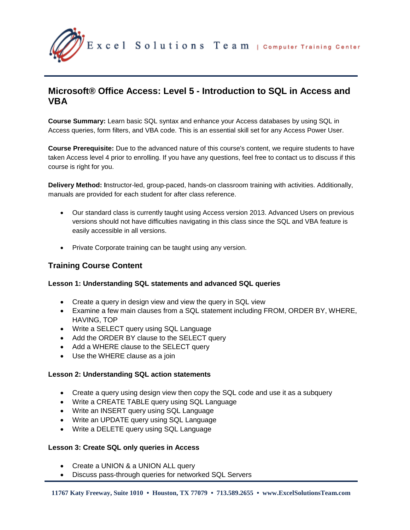

# **Microsoft® Office Access: Level 5 - Introduction to SQL in Access and VBA**

**Course Summary:** Learn basic SQL syntax and enhance your Access databases by using SQL in Access queries, form filters, and VBA code. This is an essential skill set for any Access Power User.

**Course Prerequisite:** Due to the advanced nature of this course's content, we require students to have taken Access level 4 prior to enrolling. If you have any questions, feel free to contact us to discuss if this course is right for you.

**Delivery Method: I**nstructor-led, group-paced, hands-on classroom training with activities. Additionally, manuals are provided for each student for after class reference.

- Our standard class is currently taught using Access version 2013. Advanced Users on previous versions should not have difficulties navigating in this class since the SQL and VBA feature is easily accessible in all versions.
- Private Corporate training can be taught using any version.

# **Training Course Content**

# **Lesson 1: Understanding SQL statements and advanced SQL queries**

- Create a query in design view and view the query in SQL view
- Examine a few main clauses from a SQL statement including FROM, ORDER BY, WHERE, HAVING, TOP
- Write a SELECT query using SQL Language
- Add the ORDER BY clause to the SELECT query
- Add a WHERE clause to the SELECT query
- Use the WHERE clause as a join

# **Lesson 2: Understanding SQL action statements**

- Create a query using design view then copy the SQL code and use it as a subquery
- Write a CREATE TABLE query using SQL Language
- Write an INSERT query using SQL Language
- Write an UPDATE query using SQL Language
- Write a DELETE query using SQL Language

#### **Lesson 3: Create SQL only queries in Access**

- Create a UNION & a UNION ALL query
- Discuss pass-through queries for networked SQL Servers